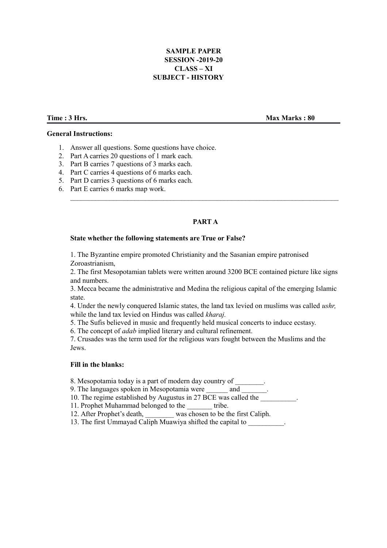# **SAMPLE PAPER SESSION -2019-20 CLASS – XI SUBJECT - HISTORY**

**General Instructions:**

### **Time : 3 Hrs.** Max Marks : 80

- 1. Answer all questions. Some questions have choice.
- 2. Part A carries 20 questions of 1 mark each.
- 3. Part B carries 7 questions of 3 marks each.
- 4. Part C carries 4 questions of 6 marks each.
- 5. Part D carries 3 questions of 6 marks each.
- 6. Part E carries 6 marks map work.

# **PART A**

### **State whether the following statements are True or False?**

1. The Byzantine empire promoted Christianity and the Sasanian empire patronised Zoroastrianism,

2. The first Mesopotamian tablets were written around 3200 BCE contained picture like signs and numbers.

3. Mecca became the administrative and Medina the religious capital of the emerging Islamic state.

4. Under the newly conquered Islamic states, the land tax levied on muslims was called *ushr,* while the land tax levied on Hindus was called *kharaj.*

5. The Sufis believed in music and frequently held musical concerts to induce ecstasy.

6. The concept of *adab* implied literary and cultural refinement.

7. Crusades was the term used for the religious wars fought between the Muslims and the Jews.

#### **Fill in the blanks:**

8. Mesopotamia today is a part of modern day country of

9. The languages spoken in Mesopotamia were and

10. The regime established by Augustus in 27 BCE was called the

- 11. Prophet Muhammad belonged to the \_\_\_\_\_\_\_ tribe.
- 12. After Prophet's death, was chosen to be the first Caliph.
- 13. The first Ummayad Caliph Muawiya shifted the capital to \_\_\_\_\_\_\_\_\_\_.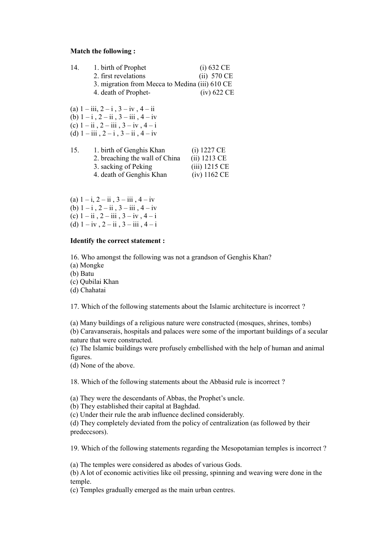#### **Match the following :**

| 14. | 1. birth of Prophet                            | (i) 632 CE      |
|-----|------------------------------------------------|-----------------|
|     | 2. first revelations                           | $(ii)$ 570 CE   |
|     | 3. migration from Mecca to Medina (iii) 610 CE |                 |
|     | 4. death of Prophet-                           | $(iv)$ 622 CE   |
|     | (a) $1 - iii$ , $2 - i$ , $3 - iv$ , $4 - ii$  |                 |
|     | (b) $1 - i$ , $2 - ii$ , $3 - iii$ , $4 - iv$  |                 |
|     | (c) $1 - ii$ , $2 - iii$ , $3 - iv$ , $4 - i$  |                 |
|     | (d) $1 - iii$ , $2 - i$ , $3 - ii$ , $4 - iv$  |                 |
| 15. | 1. birth of Genghis Khan                       | $(i)$ 1227 CE   |
|     | 2. breaching the wall of China                 | $(ii)$ 1213 CE  |
|     | 3. sacking of Peking                           | $(iii)$ 1215 CE |
|     | 4. death of Genghis Khan                       | $(iv)$ 1162 CE  |
|     |                                                |                 |

(a)  $1 - i$ ,  $2 - ii$ ,  $3 - iii$ ,  $4 - iv$ (b)  $1 - i$ ,  $2 - ii$ ,  $3 - iii$ ,  $4 - iv$ (c)  $1 - ii$ ,  $2 - iii$ ,  $3 - iv$ ,  $4 - i$ (d)  $1 - iv$ ,  $2 - ii$ ,  $3 - iii$ ,  $4 - i$ 

#### **Identify the correct statement :**

16. Who amongst the following was not a grandson of Genghis Khan?

(a) Mongke

(b) Batu

(c) Qubilai Khan

(d) Chahatai

17. Which of the following statements about the Islamic architecture is incorrect ?

(a) Many buildings of a religious nature were constructed (mosques, shrines, tombs) (b) Caravanserais, hospitals and palaces were some of the important buildings of a secular nature that were constructed.

(c) The Islamic buildings were profusely embellished with the help of human and animal figures.

(d) None of the above.

18. Which of the following statements about the Abbasid rule is incorrect ?

(a) They were the descendants of Abbas, the Prophet's uncle.

(b) They established their capital at Baghdad.

(c) Under their rule the arab influence declined considerably.

(d) They completely deviated from the policy of centralization (as followed by their predeccsors).

19. Which of the following statements regarding the Mesopotamian temples is incorrect ?

(a) The temples were considered as abodes of various Gods.

(b) A lot of economic activities like oil pressing, spinning and weaving were done in the temple.

(c) Temples gradually emerged as the main urban centres.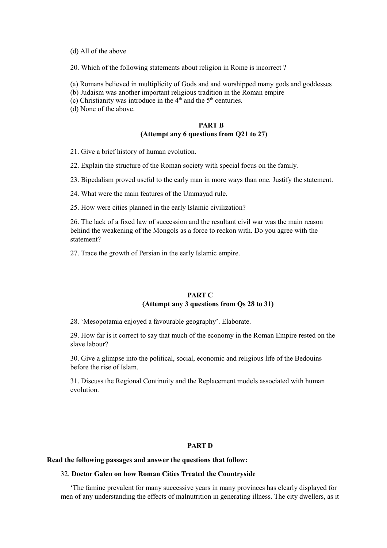(d) All of the above

20. Which of the following statements about religion in Rome is incorrect ?

(a) Romans believed in multiplicity of Gods and and worshipped many gods and goddesses

(b) Judaism was another important religious tradition in the Roman empire

(c) Christianity was introduce in the  $4<sup>th</sup>$  and the  $5<sup>th</sup>$  centuries.

(d) None of the above.

# **PART B (Attempt any 6 questions from Q21 to 27)**

21. Give a brief history of human evolution.

22. Explain the structure of the Roman society with special focus on the family.

23. Bipedalism proved useful to the early man in more ways than one. Justify the statement.

24. What were the main features of the Ummayad rule.

25. How were cities planned in the early Islamic civilization?

26. The lack of a fixed law of succession and the resultant civil war was the main reason behind the weakening of the Mongols as a force to reckon with. Do you agree with the statement?

27. Trace the growth of Persian in the early Islamic empire.

## **PART C (Attempt any 3 questions from Qs 28 to 31)**

28. 'Mesopotamia enjoyed a favourable geography'. Elaborate.

29. How far is it correct to say that much of the economy in the Roman Empire rested on the slave labour?

30. Give a glimpse into the political, social, economic and religious life of the Bedouins before the rise of Islam.

31. Discuss the Regional Continuity and the Replacement models associated with human evolution.

## **PART D**

### **Read the following passages and answer the questions that follow:**

### 32. **Doctor Galen on how Roman Cities Treated the Countryside**

'The famine prevalent for many successive years in many provinces has clearly displayed for men of any understanding the effects of malnutrition in generating illness. The city dwellers, as it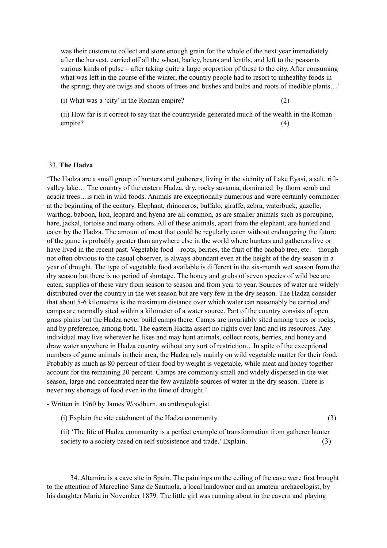was their custom to collect and store enough grain for the whole of the next year immediately after the harvest, carried off all the wheat, barley, beans and lentils, and left to the peasants various kinds of pulse – after taking quite a large proportion pf these to the city. After consuming what was left in the course of the winter, the country people had to resort to unhealthy foods in the spring; they ate twigs and shoots of trees and bushes and bulbs and roots of inedible plants…'

(i) What was a 'city' in the Roman empire? (2)

(ii) How far is it correct to say that the countryside generated much of the wealth in the Roman empire? (4)

#### 33. **The Hadza**

'The Hadza are a small group of hunters and gatherers, living in the vicinity of Lake Eyasi, a salt, riftvalley lake… The country of the eastern Hadza, dry, rocky savanna, dominated by thorn scrub and acacia trees…is rich in wild foods. Animals are exceptionally numerous and were certainly commoner at the beginning of the century. Elephant, rhinoceros, buffalo, giraffe, zebra, waterbuck, gazelle, warthog, baboon, lion, leopard and hyena are all common, as are smaller animals such as porcupine, hare, jackal, tortoise and many others. All of these animals, apart from the elephant, are hunted and eaten by the Hadza. The amount of meat that could be regularly eaten without endangering the future of the game is probably greater than anywhere else in the world where hunters and gatherers live or have lived in the recent past. Vegetable food – roots, berries, the fruit of the baobab tree, etc. – though not often obvious to the casual observer, is always abundant even at the height of the dry season in a year of drought. The type of vegetable food available is different in the six-month wet season from the dry season but there is no period of shortage. The honey and grubs of seven species of wild bee are eaten; supplies of these vary from season to season and from year to year. Sources of water are widely distributed over the country in the wet season but are very few in the dry season. The Hadza consider that about 5-6 kilomatres is the maximum distance over which water can reasonably be carried and camps are normally sited within a kilometer of a water source. Part of the country consists of open grass plains but the Hadza never build camps there. Camps are invariably sited among trees or rocks, and by preference, among both. The eastern Hadza assert no rights over land and its resources. Any individual may live wherever he likes and may hunt animals, collect roots, berries, and honey and draw water anywhere in Hadza country without any sort of restriction…In spite of the exceptional numbers of game animals in their area, the Hadza rely mainly on wild vegetable matter for their food. Probably as much as 80 percent of their food by weight is vegetable, while meat and honey together account for the remaining 20 percent. Camps are commonly small and widely dispersed in the wet season, large and concentrated near the few available sources of water in the dry season. There is never any shortage of food even in the time of drought.'

- Written in 1960 by James Woodburn, an anthropologist.

(i) Explain the site catchment of the Hadza community. (3)

(ii) 'The life of Hadza community is a perfect example of transformation from gatherer hunter society to a society based on self-subsistence and trade.' Explain. (3)

34. Altamira is a cave site in Spain. The paintings on the ceiling of the cave were first brought to the attention of Marcelino Sanz de Sautuola, a local landowner and an amateur archaeologist, by his daughter Maria in November 1879. The little girl was running about in the cavern and playing